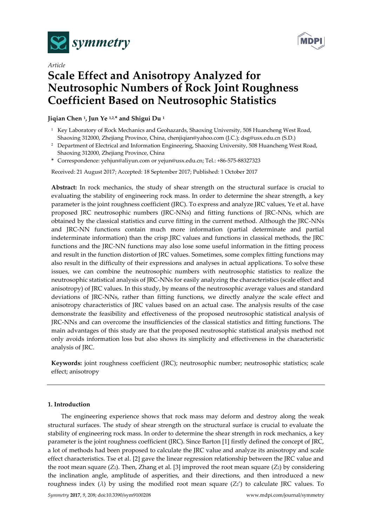



# *Article* **Scale Effect and Anisotropy Analyzed for Neutrosophic Numbers of Rock Joint Roughness Coefficient Based on Neutrosophic Statistics**

## **Jiqian Chen <sup>1</sup> , Jun Ye 1,2,\* and Shigui Du <sup>1</sup>**

- <sup>1</sup> Key Laboratory of Rock Mechanics and Geohazards, Shaoxing University, 508 Huancheng West Road, Shaoxing 312000, Zhejiang Province, China, chenjiqian@yahoo.com (J.C.); dsg@usx.edu.cn (S.D.)
- <sup>2</sup> Department of Electrical and Information Engineering, Shaoxing University, 508 Huancheng West Road, Shaoxing 312000, Zhejiang Province, China
- **\*** Correspondence: yehjun@aliyun.com or yejun@usx.edu.cn; Tel.: +86-575-88327323

Received: 21 August 2017; Accepted: 18 September 2017; Published: 1 October 2017

**Abstract:** In rock mechanics, the study of shear strength on the structural surface is crucial to evaluating the stability of engineering rock mass. In order to determine the shear strength, a key parameter is the joint roughness coefficient (JRC). To express and analyze JRC values, Ye et al. have proposed JRC neutrosophic numbers (JRC-NNs) and fitting functions of JRC-NNs, which are obtained by the classical statistics and curve fitting in the current method. Although the JRC-NNs and JRC-NN functions contain much more information (partial determinate and partial indeterminate information) than the crisp JRC values and functions in classical methods, the JRC functions and the JRC-NN functions may also lose some useful information in the fitting process and result in the function distortion of JRC values. Sometimes, some complex fitting functions may also result in the difficulty of their expressions and analyses in actual applications. To solve these issues, we can combine the neutrosophic numbers with neutrosophic statistics to realize the neutrosophic statistical analysis of JRC-NNs for easily analyzing the characteristics (scale effect and anisotropy) of JRC values. In this study, by means of the neutrosophic average values and standard deviations of JRC-NNs, rather than fitting functions, we directly analyze the scale effect and anisotropy characteristics of JRC values based on an actual case. The analysis results of the case demonstrate the feasibility and effectiveness of the proposed neutrosophic statistical analysis of JRC-NNs and can overcome the insufficiencies of the classical statistics and fitting functions. The main advantages of this study are that the proposed neutrosophic statistical analysis method not only avoids information loss but also shows its simplicity and effectiveness in the characteristic analysis of JRC.

**Keywords:** joint roughness coefficient (JRC); neutrosophic number; neutrosophic statistics; scale effect; anisotropy

#### **1. Introduction**

The engineering experience shows that rock mass may deform and destroy along the weak structural surfaces. The study of shear strength on the structural surface is crucial to evaluate the stability of engineering rock mass. In order to determine the shear strength in rock mechanics, a key parameter is the joint roughness coefficient (JRC). Since Barton [1] firstly defined the concept of JRC, a lot of methods had been proposed to calculate the JRC value and analyze its anisotropy and scale effect characteristics. Tse et al. [2] gave the linear regression relationship between the JRC value and the root mean square (*Z*2). Then, Zhang et al. [3] improved the root mean square (*Z*2) by considering the inclination angle, amplitude of asperities, and their directions, and then introduced a new roughness index ( $\lambda$ ) by using the modified root mean square ( $Z_2$ <sup>'</sup>) to calculate JRC values. To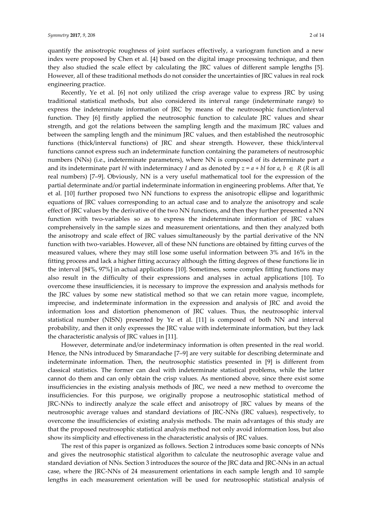quantify the anisotropic roughness of joint surfaces effectively, a variogram function and a new index were proposed by Chen et al. [4] based on the digital image processing technique, and then they also studied the scale effect by calculating the JRC values of different sample lengths [5]. However, all of these traditional methods do not consider the uncertainties of JRC values in real rock engineering practice.

Recently, Ye et al. [6] not only utilized the crisp average value to express JRC by using traditional statistical methods, but also considered its interval range (indeterminate range) to express the indeterminate information of JRC by means of the neutrosophic function/interval function. They [6] firstly applied the neutrosophic function to calculate JRC values and shear strength, and got the relations between the sampling length and the maximum JRC values and between the sampling length and the minimum JRC values, and then established the neutrosophic functions (thick/interval functions) of JRC and shear strength. However, these thick/interval functions cannot express such an indeterminate function containing the parameters of neutrosophic numbers (NNs) (i.e., indeterminate parameters), where NN is composed of its determinate part *a* and its indeterminate part *bI* with indeterminacy *I* and as denoted by  $z = a + bI$  for  $a, b \in R$  (*R* is all real numbers) [7–9]. Obviously, NN is a very useful mathematical tool for the expression of the partial determinate and/or partial indeterminate information in engineering problems. After that, Ye et al. [10] further proposed two NN functions to express the anisotropic ellipse and logarithmic equations of JRC values corresponding to an actual case and to analyze the anisotropy and scale effect of JRC values by the derivative of the two NN functions, and then they further presented a NN function with two-variables so as to express the indeterminate information of JRC values comprehensively in the sample sizes and measurement orientations, and then they analyzed both the anisotropy and scale effect of JRC values simultaneously by the partial derivative of the NN function with two-variables. However, all of these NN functions are obtained by fitting curves of the measured values, where they may still lose some useful information between 3% and 16% in the fitting process and lack a higher fitting accuracy although the fitting degrees of these functions lie in the interval [84%, 97%] in actual applications [10]. Sometimes, some complex fitting functions may also result in the difficulty of their expressions and analyses in actual applications [10]. To overcome these insufficiencies, it is necessary to improve the expression and analysis methods for the JRC values by some new statistical method so that we can retain more vague, incomplete, imprecise, and indeterminate information in the expression and analysis of JRC and avoid the information loss and distortion phenomenon of JRC values. Thus, the neutrosophic interval statistical number (NISN) presented by Ye et al. [11] is composed of both NN and interval probability, and then it only expresses the JRC value with indeterminate information, but they lack the characteristic analysis of JRC values in [11].

However, determinate and/or indeterminacy information is often presented in the real world. Hence, the NNs introduced by Smarandache [7–9] are very suitable for describing determinate and indeterminate information. Then, the neutrosophic statistics presented in [9] is different from classical statistics. The former can deal with indeterminate statistical problems, while the latter cannot do them and can only obtain the crisp values. As mentioned above, since there exist some insufficiencies in the existing analysis methods of JRC, we need a new method to overcome the insufficiencies. For this purpose, we originally propose a neutrosophic statistical method of JRC-NNs to indirectly analyze the scale effect and anisotropy of JRC values by means of the neutrosophic average values and standard deviations of JRC-NNs (JRC values), respectively, to overcome the insufficiencies of existing analysis methods. The main advantages of this study are that the proposed neutrosophic statistical analysis method not only avoid information loss, but also show its simplicity and effectiveness in the characteristic analysis of JRC values.

The rest of this paper is organized as follows. Section 2 introduces some basic concepts of NNs and gives the neutrosophic statistical algorithm to calculate the neutrosophic average value and standard deviation of NNs. Section 3 introduces the source of the JRC data and JRC-NNs in an actual case, where the JRC-NNs of 24 measurement orientations in each sample length and 10 sample lengths in each measurement orientation will be used for neutrosophic statistical analysis of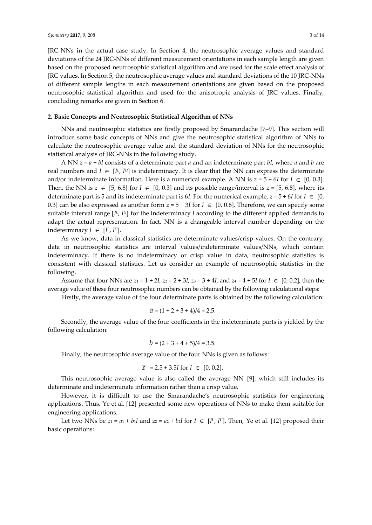JRC-NNs in the actual case study. In Section 4, the neutrosophic average values and standard deviations of the 24 JRC-NNs of different measurement orientations in each sample length are given based on the proposed neutrosophic statistical algorithm and are used for the scale effect analysis of JRC values. In Section 5, the neutrosophic average values and standard deviations of the 10 JRC-NNs of different sample lengths in each measurement orientations are given based on the proposed neutrosophic statistical algorithm and used for the anisotropic analysis of JRC values. Finally, concluding remarks are given in Section 6.

### **2. Basic Concepts and Neutrosophic Statistical Algorithm of NNs**

NNs and neutrosophic statistics are firstly proposed by Smarandache [7–9]. This section will introduce some basic concepts of NNs and give the neutrosophic statistical algorithm of NNs to calculate the neutrosophic average value and the standard deviation of NNs for the neutrosophic statistical analysis of JRC-NNs in the following study.

A NN *z* = *a* + *bI* consists of a determinate part *a* and an indeterminate part *bI*, where *a* and *b* are real numbers and  $I \in [I^L, I^U]$  is indeterminacy. It is clear that the NN can express the determinate and/or indeterminate information. Here is a numerical example. A NN is  $z = 5 + 6I$  for  $I \in [0, 0.3]$ . Then, the NN is  $z \in [5, 6.8]$  for  $I \in [0, 0.3]$  and its possible range/interval is  $z = [5, 6.8]$ , where its determinate part is 5 and its indeterminate part is 6*I*. For the numerical example,  $z = 5 + 6I$  for  $I \in [0, 1]$ 0.3] can be also expressed as another form  $z = 5 + 3I$  for  $I \in [0, 0.6]$ . Therefore, we can specify some suitable interval range  $[I^{\mu}, I^{\mu}]$  for the indeterminacy *I* according to the different applied demands to adapt the actual representation. In fact, NN is a changeable interval number depending on the indeterminacy  $I \in [I^L, I^U]$ .

As we know, data in classical statistics are determinate values/crisp values. On the contrary, data in neutrosophic statistics are interval values/indeterminate values/NNs, which contain indeterminacy. If there is no indeterminacy or crisp value in data, neutrosophic statistics is consistent with classical statistics. Let us consider an example of neutrosophic statistics in the following.

Assume that four NNs are  $z_1 = 1 + 2I$ ,  $z_2 = 2 + 3I$ ,  $z_3 = 3 + 4I$ , and  $z_4 = 4 + 5I$  for  $I \in [0, 0.2]$ , then the average value of these four neutrosophic numbers can be obtained by the following calculational steps:

Firstly, the average value of the four determinate parts is obtained by the following calculation:

$$
\overline{a} = (1 + 2 + 3 + 4)/4 = 2.5.
$$

Secondly, the average value of the four coefficients in the indeterminate parts is yielded by the following calculation:

$$
b = (2 + 3 + 4 + 5)/4 = 3.5.
$$

Finally, the neutrosophic average value of the four NNs is given as follows:

$$
\overline{z}
$$
 = 2.5 + 3.5*I* for *I*  $\in$  [0, 0.2].

This neutrosophic average value is also called the average NN [9], which still includes its determinate and indeterminate information rather than a crisp value.

However, it is difficult to use the Smarandache's neutrosophic statistics for engineering applications. Thus, Ye et al. [12] presented some new operations of NNs to make them suitable for engineering applications.

Let two NNs be  $z_1 = a_1 + b_1I$  and  $z_2 = a_2 + b_2I$  for  $I \in [I^L, I^U]$ . Then, Ye et al. [12] proposed their basic operations: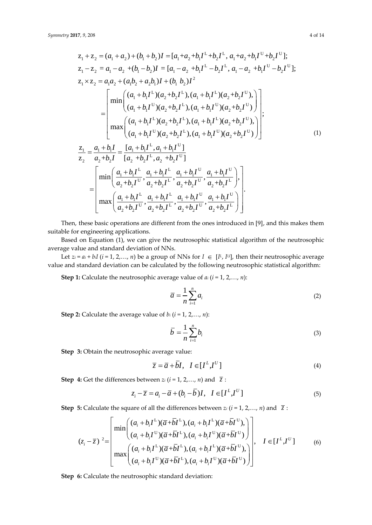17, 9, 208  
\n
$$
z_{1} + z_{2} = (a_{1} + a_{2}) + (b_{1} + b_{2})I = [a_{1} + a_{2} + b_{1}I^{L} + b_{2}I^{L}, a_{1} + a_{2} + b_{1}I^{U} + b_{2}I^{U}]
$$
\n
$$
z_{1} - z_{2} = a_{1} - a_{2} + (b_{1} - b_{2})I = [a_{1} - a_{2} + b_{1}I^{L} - b_{2}I^{L}, a_{1} - a_{2} + b_{1}I^{U} - b_{2}I^{U}]
$$
\n
$$
z_{1} \times z_{2} = a_{1}a_{2} + (a_{1}b_{2} + a_{2}b_{1})I + (b_{1} b_{2})I^{2}
$$
\n
$$
= \begin{bmatrix} \min \left( (a_{1} + b_{1}I^{L})(a_{2} + b_{2}I^{L}), (a_{1} + b_{1}I^{L})(a_{2} + b_{2}I^{U}), a_{1} + b_{1}I^{U}(a_{2} + b_{2}I^{U}) \right) \\ (a_{1} + b_{1}I^{U})(a_{2} + b_{2}I^{L}), (a_{1} + b_{1}I^{U})(a_{2} + b_{2}I^{U}) \right) \\ \max \left( (a_{1} + b_{1}I^{L})(a_{2} + b_{2}I^{L}), (a_{1} + b_{1}I^{U})(a_{2} + b_{2}I^{U}) \right) \\ (a_{1} + b_{1}I^{U})(a_{2} + b_{2}I^{L}) \right) \left( a_{1} + b_{1}I^{U}(a_{2} + b_{2}I^{U}) \right) \end{bmatrix}
$$
\n
$$
= \begin{bmatrix} \frac{z_{1}}{a_{1}} = \frac{a_{1} + b_{1}I}{a_{2} + b_{2}I} = \frac{[a_{1} + b_{1}I^{L}, a_{1} + b_{1}I^{U}]}{[a_{2} + b_{2}I^{L}, a_{2} + b_{2}I^{U}]} = \begin{bmatrix} \min \left( \frac{a_{1} + b_{1}I^{L}}{a_{2} + b_{2}I^{L}}, \frac{a_{1} + b_{1}I^{U}}{a_{2} + b_{2}I^{L}}, \frac{a_{1} + b_{1}I^{U}}{
$$

$$
= \left[\frac{\min\left(\frac{a_1+b_1I^L}{a_2+b_2I^U}, \frac{a_1+b_1I^L}{a_2+b_2I^L}, \frac{a_1+b_1I^U}{a_2+b_2I^U}, \frac{a_1+b_1I^U}{a_2+b_2I^L}\right),\right]}{\max\left(\frac{a_1+b_1I^L}{a_2+b_2I^U}, \frac{a_1+b_1I^U}{a_2+b_2I^U}, \frac{a_1+b_1I^U}{a_2+b_2I^U}, \frac{a_1+b_1I^U}{a_2+b_2I^L}\right)\right]}.
$$

Then, these basic operations are different from the ones introduced in [9], and this makes them suitable for engineering applications.

Based on Equation (1), we can give the neutrosophic statistical algorithm of the neutrosophic average value and standard deviation of NNs.

Let  $z_i = a_i + b_i I$  ( $i = 1, 2, ..., n$ ) be a group of NNs for  $I \in [I^L, I^U]$ , then their neutrosophic average value and standard deviation can be calculated by the following neutrosophic statistical algorithm:

**Step 1:** Calculate the neutrosophic average value of *a<sup>i</sup>* (*i* = 1, 2,…, *n*):

$$
\overline{a} = \frac{1}{n} \sum_{i=1}^{n} a_i
$$
 (2)

**Step 2:** Calculate the average value of *b<sup>i</sup>* (*i* = 1, 2,…, *n*):

$$
\overline{b} = \frac{1}{n} \sum_{i=1}^{n} b_i
$$
 (3)

**Step 3:** Obtain the neutrosophic average value:

$$
\overline{z} = \overline{a} + \overline{b}I, \quad I \in [I^L, I^U]
$$
\n(4)

**Step 4:** Get the differences between 
$$
z_i
$$
 ( $i = 1, 2, ..., n$ ) and  $\overline{z}$ :  
\n
$$
z_i - \overline{z} = a_i - \overline{a} + (b_i - \overline{b})I, \quad I \in [I^L, I^U]
$$
\n(5)

Step 5: Calculate the square of all the differences between 
$$
z_i
$$
 ( $i = 1, 2, ..., n$ ) and  $\overline{z}$ :  
\n
$$
(z_i - \overline{z})^2 = \begin{bmatrix}\n\min\left( \frac{(a_i + b_i I^L)(\overline{a} + \overline{b} I^L), (a_i + b_i I^L)(\overline{a} + \overline{b} I^U), \\ (a_i + b_i I^U)(\overline{a} + \overline{b} I^L), (a_i + b_i I^U)(\overline{a} + \overline{b} I^U) \end{bmatrix}, I \in [I^L, I^U]
$$
\n
$$
(6)\n\max\left( \frac{(a_i + b_i I^L)(\overline{a} + \overline{b} I^L), (a_i + b_i I^U)(\overline{a} + \overline{b} I^U),}{(a_i + b_i I^U)(\overline{a} + \overline{b} I^U)(\overline{a} + \overline{b} I^U)} \right)\n\tag{6}
$$

**Step 6:** Calculate the neutrosophic standard deviation: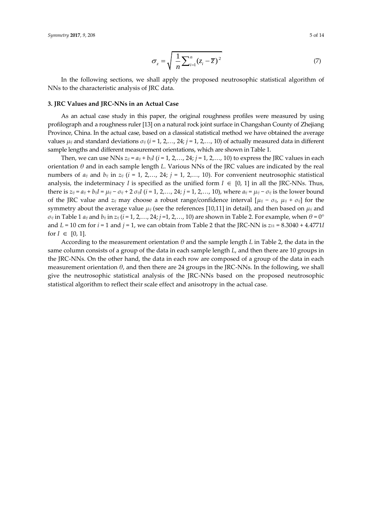$$
\sigma_z = \sqrt{\frac{1}{n} \sum_{i=1}^n (z_i - \overline{z})^2}
$$
 (7)

In the following sections, we shall apply the proposed neutrosophic statistical algorithm of NNs to the characteristic analysis of JRC data.

#### **3. JRC Values and JRC-NNs in an Actual Case**

As an actual case study in this paper, the original roughness profiles were measured by using profilograph and a roughness ruler [13] on a natural rock joint surface in Changshan County of Zhejiang Province, China. In the actual case, based on a classical statistical method we have obtained the average values  $\mu_{ij}$  and standard deviations  $\sigma_{ij}$  ( $i = 1, 2, \ldots, 24$ ;  $j = 1, 2, \ldots, 10$ ) of actually measured data in different sample lengths and different measurement orientations, which are shown in Table 1.

Then, we can use NNs  $z_{ij} = a_{ij} + b_{ij}I$  ( $i = 1, 2, ..., 24$ ;  $j = 1, 2, ..., 10$ ) to express the JRC values in each orientation *θ* and in each sample length *L*. Various NNs of the JRC values are indicated by the real numbers of  $a_{ij}$  and  $b_{ij}$  in  $z_{ij}$  ( $i = 1, 2,..., 24$ ;  $j = 1, 2,..., 10$ ). For convenient neutrosophic statistical analysis, the indeterminacy *I* is specified as the unified form  $I \in [0, 1]$  in all the JRC-NNs. Thus, there is  $z_{ij} = a_{ij} + b_{ij}I = \mu_{ij} - \sigma_{ij} + 2 \sigma_{ij}I$  (*i* = 1, 2,..., 24; *j* = 1, 2,..., 10), where  $a_{ij} = \mu_{ij} - \sigma_{ij}$  is the lower bound of the JRC value and  $z_{ij}$  may choose a robust range/confidence interval  $[\mu_{ij} - \sigma_{ij}, \mu_{ij} + \sigma_{ij}]$  for the symmetry about the average value *μij* (see the references [10,11] in detail), and then based on *μij* and  $\sigma_{ij}$  in Table 1  $a_{ij}$  and  $b_{ij}$  in  $z_{ij}$  ( $i = 1, 2, ..., 24$ ;  $j = 1, 2, ..., 10$ ) are shown in Table 2. For example, when  $\theta = 0^{\circ}$ and  $L = 10$  cm for  $i = 1$  and  $j = 1$ , we can obtain from Table 2 that the JRC-NN is  $z_{11} = 8.3040 + 4.4771I$ for  $I \in [0, 1]$ .

According to the measurement orientation *θ* and the sample length *L* in Table 2, the data in the same column consists of a group of the data in each sample length *L*, and then there are 10 groups in the JRC-NNs. On the other hand, the data in each row are composed of a group of the data in each measurement orientation  $\theta$ , and then there are 24 groups in the JRC-NNs. In the following, we shall give the neutrosophic statistical analysis of the JRC-NNs based on the proposed neutrosophic statistical algorithm to reflect their scale effect and anisotropy in the actual case.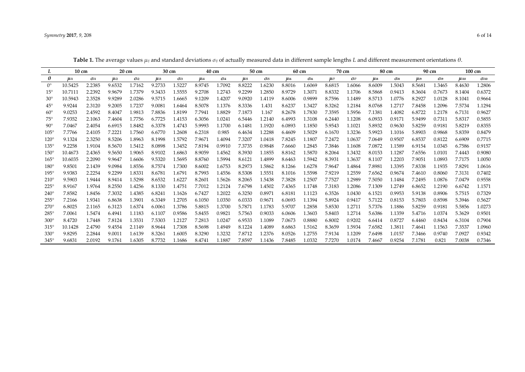| L               | $10 \text{ cm}$ |                        |                     | $20 \text{ cm}$ |                     | 30 cm               |                     | $40 \text{ cm}$        |                     | 50 cm                  |                     | 60 cm                  |        | 70 cm  |                     | 80 cm                  |                     | 90 cm        |             | 100 cm                  |
|-----------------|-----------------|------------------------|---------------------|-----------------|---------------------|---------------------|---------------------|------------------------|---------------------|------------------------|---------------------|------------------------|--------|--------|---------------------|------------------------|---------------------|--------------|-------------|-------------------------|
| θ               | $\mu$ i1        | $\sigma$ <sub>i1</sub> | $\mu$ <sub>i2</sub> | Oi2             | $\mu$ <sub>i3</sub> | $\sigma$ <i>i</i> 3 | $\mu$ <sub>i4</sub> | $\sigma$ <sub>i4</sub> | $\mu$ <sub>i5</sub> | $\sigma$ <sub>i5</sub> | $\mu$ <sub>i6</sub> | $\sigma$ <sub>i6</sub> | Ui7    | Oi7    | $\mu$ <sub>i8</sub> | $\sigma$ <sub>i8</sub> | $\mu$ <sub>i9</sub> | $\sigma_i$ 9 | $\mu_{i10}$ | $\sigma$ <sub>i10</sub> |
| $0^{\circ}$     | 10.5425         | 2.2385                 | 9.6532              | 1.7162          | 9.2733              | 1.5227              | 8.9745              | 1.7092                 | 8.8222              | 1.6230                 | 8.8016              | 1.6069                 | 8.6815 | 1.6066 | 8.6009              | 1.5043                 | 8.5681              | 1.3465       | 8.4630      | 1.2806                  |
| $15^{\circ}$    | 10.7111         | 2.2392                 | 9.9679              | 1.7379          | 9.3433              | 1.5555              | 9.2708              | 1.2743                 | 9.2299              | 1.2850                 | 8.9729              | 1.3071                 | 8.8332 | 1.1706 | 8.5868              | 0.9413                 | 8.3604              | 0.7673       | 8.1404      | 0.6372                  |
| $30^\circ$      | 10.5943         | 2.3528                 | 9.9289              | 2.0286          | 9.5715              | 1.6665              | 9.1209              | 1.4207                 | 9.0920              | 1.4119                 | 8.6006              | 0.9899                 | 8.7596 | 1.1489 | 8.5713              | 1.0776                 | 8.2927              | 1.0128       | 8.1041      | 0.9664                  |
| $45^{\circ}$    | 9.9244          | 2.3120                 | 9.2005              | 1.7237          | 9.0081              | 1.6464              | 8.5078              | 1.1376                 | 8.3336              | 1.431                  | 8.6237              | 1.3427                 | 8.3262 | 1.2184 | 8.0768              | 1.2717                 | 7.8458              | 1.2096       | 7.5734      | 1.1294                  |
| $60^{\circ}$    | 9.0253          | 2.4592                 | 8.4047              | 1.9813          | 7.8836              | 1.8199              | 7.7941              | 1.8829                 | 7.1873              | 1.167                  | 8.2678              | 1.7830                 | 7.3595 | 1.5956 | 7.1381              | 1.4082                 | 6.8722              | 1.2178       | 6.7131      | 0.9627                  |
| 75 <sup>°</sup> | 7.9352          | 2.1063                 | 7.4604              | 1.7756          | 6.7725              | 1.4153              | 6.3056              | 1.0241                 | 6.5446              | 1.2140                 | 6.4993              | 1.3108                 | 6.2440 | 1.1208 | 6.0933              | 0.9171                 | 5.9499              | 0.7311       | 5.8317      | 0.5855                  |
| $90^{\circ}$    | 7.0467          | 2.4054                 | 6.6915              | 1.8482          | 6.3378              | 1.4743              | 5.9993              | 1.1700                 | 6.1481              | 1.1920                 | 6.0893              | 1.1850                 | 5.9543 | 1.1021 | 5.8932              | 0.9630                 | 5.8259              | 0.9181       | 5.8219      | 0.8355                  |
| $105^\circ$     | 7.7766          | 2.4105                 | 7.2221              | 1.7560          | 6.6770              | 1.2608              | 6.2318              | 0.985                  | 6.4634              | 1.2288                 | 6.4609              | 1.5029                 | 6.1670 | 1.3236 | 5.9923              | 1.1016                 | 5.8903              | 0.9868       | 5.8359      | 0.8479                  |
| $120^\circ$     | 9.1324          | 2.3250                 | 8.5206              | 1.8963          | 8.1998              | 1.5792              | 7.9671              | 1.4094                 | 7.3207              | 1.0418                 | 7.8245              | 1.1807                 | 7.2472 | 1.0637 | 7.0649              | 0.9507                 | 6.8537              | 0.8122       | 6.6909      | 0.7715                  |
| $135^\circ$     | 9.2258          | 1.9104                 | 8.5670              | 1.5412          | 8.0898              | 1.3452              | 7.8194              | 0.9910                 | 7.3735              | 0.9848                 | 7.6660              | 1.2845                 | 7.3846 | 1.1608 | 7.0872              | 1.1589                 | 6.9154              | 1.0345       | 6.7586      | 0.9157                  |
| $150^\circ$     | 10.4673         | 2.4365                 | 9.5650              | 1.9065          | 8.9102              | 1.6863              | 8.9059              | 1.4562                 | 8.3930              | 1.1855                 | 8.8162              | 1.5870                 | 8.2064 | 1.3432 | 8.0153              | 1.1287                 | 7.6556              | 1.0101       | 7.4443      | 0.9080                  |
| $165^\circ$     | 10.6035         | 2.2090                 | 9.9647              | 1.6606          | 9.5320              | 1.5695              | 8.8760              | 1.5994                 | 8.6121              | 1.4899                 | 8.6463              | 1.5942                 | 8.3931 | 1.3637 | 8.1107              | 1.2203                 | 7.9051              | 1.0893       | 7.7175      | 1.0050                  |
| $180^\circ$     | 9.8501          | 2.1439                 | 9.0984              | 1.8556          | 8.7574              | 1.7300              | 8.6002              | 1.6753                 | 8.2973              | 1.5862                 | 8.1266              | 1.6278                 | 7.9647 | 1.4864 | 7.8981              | 1.3395                 | 7.8338              | 1.1935       | 7.8291      | 1.0616                  |
| $195^\circ$     | 9.9383          | 2.2254                 | 9.2299              | 1.8331          | 8.6781              | 1.6791              | 8.7993              | 1.4556                 | 8.5308              | 1.5551                 | 8.1016              | 1.5598                 | 7.9219 | 1.2559 | 7.6562              | 0.9674                 | 7.4610              | 0.8060       | 7.3131      | 0.7402                  |
| $210^{\circ}$   | 9.5903          | 1.9444                 | 8.9414              | 1.5298          | 8.6532              | 1.6227              | 8.2601              | 1.5626                 | 8.2065              | 1.5438                 | 7.3828              | 1.2507                 | 7.7527 | 1.2989 | 7.5050              | 1.1484                 | 7.2495              | 1.0876       | 7.0479      | 0.9558                  |
| $225^\circ$     | 8.9167          | 1.9764                 | 8.2550              | 1.4256          | 8.1330              | 1.4751              | 7.7012              | 1.2124                 | 7.6798              | 1.4502                 | 7.4365              | 1.1748                 | 7.3183 | 1.2086 | 7.1309              | 1.2749                 | 6.8652              | 1.2190       | 6.6742      | 1.1571                  |
| $240^\circ$     | 7.8582          | 1.8456                 | 7.3032              | 1.4385          | 6.8241              | 1.1626              | 6.7427              | 1.2022                 | 6.3250              | 0.8971                 | 6.8181              | 1.1123                 | 6.3526 | 1.0430 | 6.1521              | 0.9953                 | 5.9138              | 0.8906       | 5.7515      | 0.7329                  |
| $255^\circ$     | 7.2166          | 1.9341                 | 6.8638              | 1.3901          | 6.3349              | 1.2705              | 6.1050              | 1.0350                 | 6.0333              | 0.9671                 | 6.0693              | 1.1394                 | 5.8924 | 0.9417 | 5.7122              | 0.8153                 | 5.7803              | 0.8598       | 5.3946      | 0.5627                  |
| $270^\circ$     | 6.8025          | 2.1165                 | 6.3123              | 1.6374          | 6.0061              | 1.3786              | 5.8815              | 1.3700                 | 5.7871              | 1.1783                 | 5.9707              | 1.2858                 | 5.8530 | 1.2711 | 5.7376              | 1.1886                 | 5.8259              | 0.9181       | 5.5856      | 1.0273                  |
| $285^\circ$     | 7.0061          | 1.5474                 | 6.4941              | 1.1183          | 6.1107              | 0.9586              | 5.8455              | 0.9821                 | 5.7563              | 0.9033                 | 6.0606              | 1.3603                 | 5.8403 | 1.2714 | 5.6386              | 1.1359                 | 5.4716              | 1.0374       | 5.3629      | 0.9501                  |
| $300^\circ$     | 8.4720          | 1.7448                 | 7.8124              | 1.3531          | 7.5303              | 1.2127              | 7.2813              | 1.0247                 | 6.9533              | 1.1089                 | 7.0673              | 0.8880                 | 6.8002 | 0.9202 | 6.6414              | 0.8727                 | 6.4460              | 0.8434       | 6.3104      | 0.7904                  |
| $315^\circ$     | 10.1428         | 2.4790                 | 9.4554              | 2.1149          | 8.9644              | 1.7308              | 8.5698              | 1.4949                 | 8.1224              | 1.4089                 | 8.6863              | 1.5162                 | 8.3659 | 1.5934 | 7.6582              | 1.3811                 | 7.4641              | 1.1563       | 7.3537      | 1.0960                  |
| $330^\circ$     | 9.8295          | 2.2844                 | 9.0011              | 1.6139          | 8.3261              | 1.6005              | 8.3290              | 1.3232                 | 7.8712              | 1.2376                 | 8.0526              | 1.2755                 | 7.9134 | 1.1209 | 7.6498              | 1.0157                 | 7.3466              | 0.9740       | 7.0927      | 0.9342                  |
| $345^\circ$     | 9.6831          | 2.0192                 | 9.1761              | 1.6305          | 8.7732              | 1.1686              | 8.4741              | 1.1887                 | 7.8597              | 1.1436                 | 7.8485              | 1.0332                 | 7.7270 | 1.0174 | 7.4667              | 0.9254                 | 7.1781              | 0.821        | 7.0038      | 0.7346                  |

**Table 1.** The average values *μij* and standard deviations *σij* of actually measured data in different sample lengths *L* and different measurement orientations *θ*.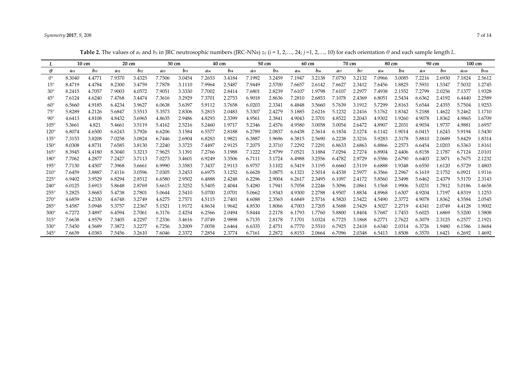## *Symmetry* **2017**, *9*, 208 7 of 14

Table 2. The values of  $a_{ij}$  and  $b_{ij}$  in JRC neutrosophic numbers (JRC-NNs)  $z_{ij}$  ( $i = 1, 2, ..., 24$ ;  $j = 1, 2, ..., 10$ ) for each orientation  $\theta$  and each sample length L.

|              | $10 \text{ cm}$ |          | 20 cm    |          |          | 30 cm    |          | $40 \text{ cm}$ |          | 50 cm    |        | 60 cm    |          | 70 cm    |          | 80 cm  |          | 90 cm    |           | 100 cm    |
|--------------|-----------------|----------|----------|----------|----------|----------|----------|-----------------|----------|----------|--------|----------|----------|----------|----------|--------|----------|----------|-----------|-----------|
| $\theta$     | $a_{i1}$        | $b_{i1}$ | $a_{i2}$ | $b_{i2}$ | $a_{i3}$ | $b_{i3}$ | $a_{i4}$ | b <sub>i4</sub> | $a_{i5}$ | $b_{i5}$ | ai6    | $b_{i6}$ | $a_{i7}$ | $b_{i7}$ | $a_{i8}$ | $b$ is | $a_{i9}$ | $b_{i9}$ | $a_{i10}$ | $b_{i10}$ |
| $0^{\circ}$  | 8.3040          | 4.4771   | 7.9370   | 3.4325   | 7.7506   | 3.0454   | 7.2653   | 3.4184          | 7.1992   | 3.2459   | 7.1947 | 3.2138   | 7.0750   | 3.2132   | 7.0966   | 3.0085 | 7.2216   | 2.6930   | 7.1824    | 2.5612    |
| $15^{\circ}$ | 8.4719          | 4.4784   | 8.2300   | 3.4759   | 7.7878   | 3.1110   | 7.9964   | 2.5487          | 7.9449   | 2.5700   | 7.6657 | 2.6142   | 7.6627   | 2.3412   | 7.6456   | 1.8825 | 7.5931   | 1.5347   | 7.5032    | 1.2745    |
| $30^{\circ}$ | 8.2415          | 4.7057   | 7.9003   | 4.0572   | 7.9051   | 3.3330   | 7.7002   | 2.8414          | 7.6801   | 2.8239   | 7.6107 | 1.9798   | 7.6107   | 2.2977   | 7.4938   | 2.1552 | 7.2799   | 2.0256   | 7.1377    | 1.9328    |
| $45^{\circ}$ | 7.6124          | 4.6240   | 7.4768   | 3.4474   | 7.3616   | 3.2929   | 7.3701   | 2.2753          | 6.9018   | 2.8636   | 7.2810 | 2.6853   | 7.1078   | 2.4369   | 6.8051   | 2.5434 | 6.6362   | 2.4192   | 6.4440    | 2.2589    |
| $60^{\circ}$ | 6.5660          | 4.9185   | 6.4234   | 3.9627   | 6.0638   | 3.6397   | 5.9112   | 3.7658          | 6.0203   | 2.3341   | 6.4848 | 3.5660   | 5.7639   | 3.1912   | 5.7299   | 2.8163 | 5.6544   | 2.4355   | 5.7504    | 1.9253    |
| $75^{\circ}$ | 5.8289          | 4.2126   | 5.6847   | 3.5513   | 5.3573   | 2.8306   | 5.2815   | 2.0483          | 5.3307   | 2.4279   | 5.1885 | 2.6216   | 5.1232   | 2.2416   | 5.1762   | 1.8342 | 5.2188   | 1.4622   | 5.2462    | 1.1710    |
| $90^\circ$   | 4.6413          | 4.8108   | 4.8432   | 3.6965   | 4.8635   | 2.9486   | 4.8293   | 2.3399          | 4.9561   | 2.3841   | 4.9043 | 2.3701   | 4.8522   | 2.2043   | 4.9302   | 1.9260 | 4.9078   | 1.8362   | 4.9865    | 1.6709    |
| $105^\circ$  | 5.3661          | 4.821    | 5.4661   | 3.5119   | 5.4162   | 2.5216   | 5.2460   | 1.9717          | 5.2346   | 2.4576   | 4.9580 | 3.0058   | 3.0054   | 2.6472   | 4.8907   | 2.2031 | 4.9034   | 1.9737   | 4.9881    | 1.6957    |
| $120^\circ$  | 6.8074          | 4.6500   | 6.6243   | 3.7926   | 6.6206   | 3.1584   | 6.5577   | 2.8188          | 6.2789   | 2.0837   | 6.6438 | 2.3614   | 6.1834   | 2.1274   | 6.1142   | 1.9014 | 6.0415   | 1.6243   | 5.9194    | 1.5430    |
| $135^\circ$  | 7.3153          | 3.8208   | 7.0258   | 3.0824   | 6.7446   | 2.6904   | 6.8283   | 1.9821          | 6.3887   | 1.9696   | 6.3815 | 2.5690   | 6.2238   | 2.3216   | 5.9283   | 2.3178 | 5.8810   | 2.0689   | 5.8429    | 1.8314    |
| $150^\circ$  | 8.0308          | 4.8731   | 7.6585   | 3.8130   | 7.2240   | 3.3725   | 7.4497   | 2.9125          | 7.2075   | 2.3710   | 7.2292 | 7.2291   | 6.8633   | 2.6863   | 6.8866   | 2.2573 | 6.6454   | 2.0203   | 6.5363    | 1.8161    |
| $165^\circ$  | 8.3945          | 4.4180   | 8.3040   | 3.3213   | 7.9625   | 3.1391   | 7.2766   | 3.1988          | 7.1222   | 2.9799   | 7.0521 | 3.1884   | 7.0294   | 2.7274   | 6.8904   | 2.4406 | 6.8158   | 2.1787   | 6.7124    | 2.0101    |
| $180^\circ$  | 7.7062          | 4.2877   | 7.2427   | 3.7113   | 7.0273   | 3.4601   | 6.9249   | 3.3506          | 6.7111   | 3.1724   | 6.4988 | 3.2556   | 6.4782   | 2.9729   | 6.5586   | 2.6790 | 6.6403   | 2.3871   | 6.7675    | 2.1232    |
| $195^\circ$  | 7.7130          | 4.4507   | 7.3968   | 3.6661   | 6.9990   | 3.3583   | 7.3437   | 2.9113          | 6.9757   | 3.1102   | 6.5419 | 3.1195   | 6.6660   | 2.5119   | 6.6888   | 1.9348 | 6.6550   | 1.6120   | 6.5729    | 1.4803    |
| $210^\circ$  | 7.6459          | 3.8887   | 7.4116   | 3.0596   | 7.0305   | 3.2453   | 6.6975   | 3.1252          | 6.6628   | 3.0875   | 6.1321 | 2.5014   | 6.4538   | 2.5977   | 6.3566   | 2.2967 | 6.1619   | 2.1752   | 6.0921    | 1.9116    |
| $225^\circ$  | 6.9402          | 3.9529   | 6.8294   | 2.8512   | 6.6580   | 2.9502   | 6.4888   | 2.4248          | 6.2296   | 2.9004   | 6.2617 | 2.3495   | 6.1097   | 2.4172   | 5.8560   | 2.5498 | 5.6462   | 2.4379   | 5.5170    | 2.3143    |
| $240^\circ$  | 6.0125          | 3.6913   | 5.8648   | 2.8769   | 5.6615   | 2.3252   | 5.5405   | 2.4044          | 5.4280   | 1.7941   | 5.7058 | 2.2246   | 5.3096   | 2.0861   | 5.1568   | 1.9906 | 5.0231   | 1.7812   | 5.0186    | 1.4658    |
| $255^\circ$  | 5.2825          | 3.8683   | 5.4738   | 2.7801   | 5.0644   | 2.5410   | 5.0700   | 2.0701          | 5.0662   | 1.9343   | 4.9300 | 2.2788   | 4.9507   | 1.8834   | 4.8968   | 1.6307 | 4.9204   | 1.7197   | 4.8319    | 1.1253    |
| $270^\circ$  | 4.6859          | 4.2330   | 4.6748   | 3.2749   | 4.6275   | 2.7571   | 4.5115   | 2.7401          | 4.6088   | 2.3565   | 4.6849 | 2.5716   | 4.5820   | 2.5422   | 4.5490   | 2.3772 | 4.9078   | 1.8362   | 4.5584    | 2.0545    |
| $285^\circ$  | 5.4587          | 3.0948   | 5.3757   | 2.2367   | 5.1521   | 1.9172   | 4.8634   | 1.9642          | 4.8530   | 1.8066   | 4.7003 | 2.7205   | 4.5688   | 2.5429   | 4.5027   | 2.2719 | 4.4341   | 2.0749   | 4.4128    | 1.9002    |
| $300^\circ$  | 6.7272          | 3.4897   | 6.4594   | 2.7061   | 6.3176   | 2.4254   | 6.2566   | 2.0494          | 5.8444   | 2.2178   | 6.1793 | 1.7760   | 5.8800   | 1.8404   | 5.7687   | 1.7453 | 5.6025   | 1.6869   | 5.5200    | 1.5808    |
| $315^\circ$  | 7.6638          | 4.9579   | 7.3405   | 4.2297   | 7.2336   | 3.4616   | 7.0749   | 2.9898          | 6.7135   | 2.8178   | 7.1701 | 3.0324   | 6.7725   | 3.1868   | 6.2771   | 2.7622 | 6.3079   | 2.3125   | 6.2577    | 2.1921    |
| $330^\circ$  | 7.5450          | 4.5689   | 7.3872   | 3.2277   | 6.7256   | 3.2009   | 7.0058   | 2.6464          | 6.6335   | 2.4751   | 6.7770 | 2.5510   | 6.7925   | 2.2418   | 6.6340   | 2.0314 | 6.3726   | 1.9480   | 6.1586    | 1.8684    |
| $345^\circ$  | 7.6639          | 4.0383   | 7.5456   | 3.2610   | 7.6046   | 2.3372   | 7.2854   | 2.3774          | 6.7161   | 2.2872   | 6.8153 | 2.0664   | 6.7096   | 2.0348   | 6.5413   | 1.8508 | 6.3570   | 1.6421   | 6.2692    | 1.4692    |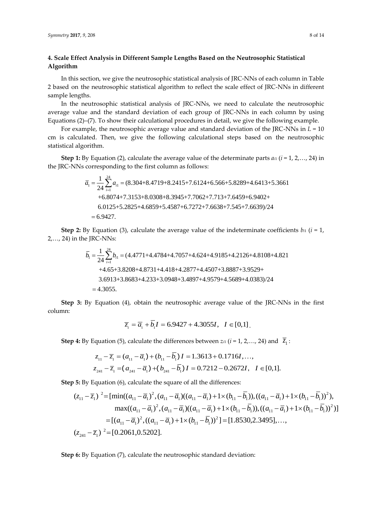# **4. Scale Effect Analysis in Different Sample Lengths Based on the Neutrosophic Statistical Algorithm**

In this section, we give the neutrosophic statistical analysis of JRC-NNs of each column in Table 2 based on the neutrosophic statistical algorithm to reflect the scale effect of JRC-NNs in different sample lengths.

In the neutrosophic statistical analysis of JRC-NNs, we need to calculate the neutrosophic average value and the standard deviation of each group of JRC-NNs in each column by using Equations (2)–(7). To show their calculational procedures in detail, we give the following example.

For example, the neutrosophic average value and standard deviation of the JRC-NNs in *L* = 10 cm is calculated. Then, we give the following calculational steps based on the neutrosophic statistical algorithm.

**Step 1:** By Equation (2), calculate the average value of the determinate parts  $a_i$  ( $i = 1, 2, ..., 24$ ) in the JRC-NNs corresponding to the first column as follows:

By Equation (2), calculate the average value of the determinate parts *a*<sub>11</sub> (*i* = 1) corresponding to the first column as follows:\n
$$
\overline{a}_1 = \frac{1}{24} \sum_{i=1}^{24} a_{i1} = (8.304 + 8.4719 + 8.2415 + 7.6124 + 6.566 + 5.8289 + 4.6413 + 5.3661 + 6.8074 + 7.3153 + 8.0308 + 8.3945 + 7.7062 + 7.713 + 7.6459 + 6.9402 + 6.0125 + 5.2825 + 4.6859 + 5.4587 + 6.7272 + 7.6638 + 7.545 + 7.6639)/24 = 6.9427.
$$

**Step 2:** By Equation (3), calculate the average value of the indeterminate coefficients *b*<sub>*i*1</sub> (*i* = 1, 24) in the JRC-NNs:<br> $\overline{b}_1 = \frac{1}{24} \sum_{i=1}^{24} b_{i1} = (4.4771 + 4.4784 + 4.7057 + 4.624 + 4.9185 + 4.2126 + 4.8108 + 4.$ 2,…, 24) in the JRC-NNs:

by Equation (3), calculate the average value of the indeterminate coenicile  
\ne JRC-NNs:  
\n
$$
\overline{b}_1 = \frac{1}{24} \sum_{i=1}^{24} b_{i1} = (4.4771 + 4.4784 + 4.7057 + 4.624 + 4.9185 + 4.2126 + 4.8108 + 4.821 + 4.65 + 3.8208 + 4.8731 + 4.418 + 4.2877 + 4.4507 + 3.8887 + 3.9529 + 3.6913 + 3.8683 + 4.233 + 3.0948 + 3.4897 + 4.9579 + 4.5689 + 4.0383)/24
$$
\n= 4.3055.

**Step 3:** By Equation (4), obtain the neutrosophic average value of the JRC-NNs in the first column:

$$
\overline{z}_1 = \overline{a}_1 + \overline{b}_1 I = 6.9427 + 4.3055I, \quad I \in [0,1].
$$

**Step 4:** By Equation (5), calculate the differences between 
$$
z_{i1}
$$
 ( $i = 1, 2, ..., 24$ ) and  $\overline{z}_1$ :  
\n
$$
z_{11} - \overline{z}_1 = (a_{11} - \overline{a}_1) + (b_{11} - \overline{b}_1)I = 1.3613 + 0.1716I, ...,
$$
\n
$$
z_{241} - \overline{z}_1 = (a_{241} - \overline{a}_1) + (b_{241} - \overline{b}_1)I = 0.7212 - 0.2672I, \quad I \in [0,1].
$$

**Step 5:** By Equation (6), calculate the square of all the differences:

$$
z_{241} - \overline{z}_1 = (a_{241} - \overline{a}_1) + (b_{241} - \overline{b}_1)I = 0.7212 - 0.2672I, \quad I \in [0,1].
$$
  
\n5: By Equation (6), calculate the square of all the differences:  
\n
$$
(z_{11} - \overline{z}_1)^2 = [\min((a_{11} - \overline{a}_1)^2, (a_{11} - \overline{a}_1)((a_{11} - \overline{a}_1) + 1 \times (b_{11} - \overline{b}_1)), ((a_{11} - \overline{a}_1) + 1 \times (b_{11} - \overline{b}_1))^2),
$$
\n
$$
\max((a_{11} - \overline{a}_1)^2, (a_{11} - \overline{a}_1)((a_{11} - \overline{a}_1) + 1 \times (b_{11} - \overline{b}_1)), ((a_{11} - \overline{a}_1) + 1 \times (b_{11} - \overline{b}_1))^2)]
$$
\n
$$
= [(a_{11} - \overline{a}_1)^2, ((a_{11} - \overline{a}_1) + 1 \times (b_{11} - \overline{b}_1))^2] = [1.8530, 2.3495], ...,
$$
\n
$$
(z_{241} - \overline{z}_1)^2 = [0.2061, 0.5202].
$$

**Step 6:** By Equation (7), calculate the neutrosophic standard deviation: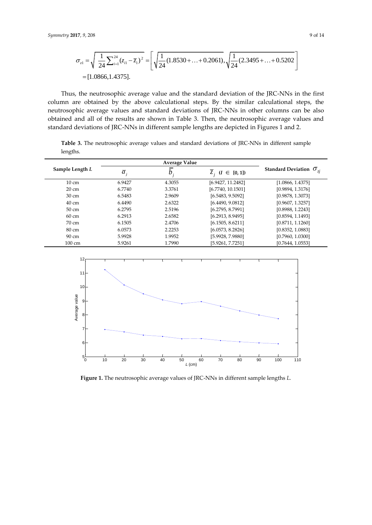17, 9, 208  
\n
$$
\sigma_{z1} = \sqrt{\frac{1}{24} \sum_{i=1}^{24} (z_{i1} - \overline{z}_1)^2} = \left[ \sqrt{\frac{1}{24} (1.8530 + ... + 0.2061)}, \sqrt{\frac{1}{24} (2.3495 + ... + 0.5202)} \right]
$$
\n= [1.0866, 1.4375].

Thus, the neutrosophic average value and the standard deviation of the JRC-NNs in the first column are obtained by the above calculational steps. By the similar calculational steps, the neutrosophic average values and standard deviations of JRC-NNs in other columns can be also obtained and all of the results are shown in Table 3. Then, the neutrosophic average values and standard deviations of JRC-NNs in different sample lengths are depicted in Figures 1 and 2.

**Table 3.** The neutrosophic average values and standard deviations of JRC-NNs in different sample lengths.

| Sample Length L  | $\overline{a}_i$ |        | $Z_i$ $(I \in [0,1])$ | Standard Deviation $\sigma_{ii}$ |  |
|------------------|------------------|--------|-----------------------|----------------------------------|--|
| $10 \text{ cm}$  | 6.9427           | 4.3055 | [6.9427, 11.2482]     | [1.0866, 1.4375]                 |  |
| $20 \text{ cm}$  | 6.7740           | 3.3761 | [6.7740, 10.1501]     | [0.9894, 1.3176]                 |  |
| 30 cm            | 6.5483           | 2.9609 | [6.5483, 9.5092]      | [0.9878, 1.3073]                 |  |
| $40 \text{ cm}$  | 6.4490           | 2.6322 | [6.4490, 9.0812]      | [0.9607, 1.3257]                 |  |
| 50 cm            | 6.2795           | 2.5196 | [6.2795, 8.7991]      | [0.8988, 1.2243]                 |  |
| 60 cm            | 6.2913           | 2.6582 | [6.2913, 8.9495]      | [0.8594, 1.1493]                 |  |
| $70 \text{ cm}$  | 6.1505           | 2.4706 | [6.1505, 8.6211]      | [0.8711, 1.1260]                 |  |
| 80 cm            | 6.0573           | 2.2253 | [6.0573, 8.2826]      | [0.8352, 1.0883]                 |  |
| $90 \text{ cm}$  | 5.9928           | 1.9952 | [5.9928, 7.9880]      | [0.7960, 1.0300]                 |  |
| $100 \text{ cm}$ | 5.9261           | 1.7990 | [5.9261, 7.7251]      | [0.7644, 1.0553]                 |  |



**Figure 1.** The neutrosophic average values of JRC-NNs in different sample lengths *L.*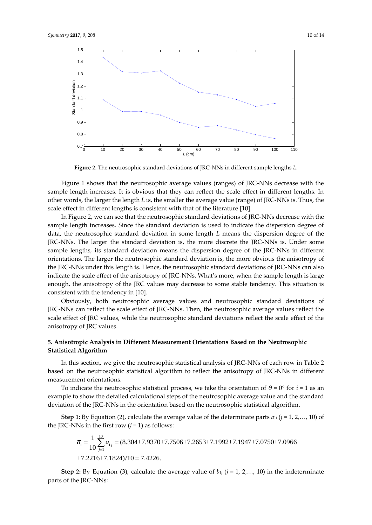

**Figure 2.** The neutrosophic standard deviations of JRC-NNs in different sample lengths *L*.

Figure 1 shows that the neutrosophic average values (ranges) of JRC-NNs decrease with the sample length increases. It is obvious that they can reflect the scale effect in different lengths. In other words, the larger the length *L* is, the smaller the average value (range) of JRC-NNs is. Thus, the scale effect in different lengths is consistent with that of the literature [10].

In Figure 2, we can see that the neutrosophic standard deviations of JRC-NNs decrease with the sample length increases. Since the standard deviation is used to indicate the dispersion degree of data, the neutrosophic standard deviation in some length *L* means the dispersion degree of the JRC-NNs. The larger the standard deviation is, the more discrete the JRC-NNs is. Under some sample lengths, its standard deviation means the dispersion degree of the JRC-NNs in different orientations. The larger the neutrosophic standard deviation is, the more obvious the anisotropy of the JRC-NNs under this length is. Hence, the neutrosophic standard deviations of JRC-NNs can also indicate the scale effect of the anisotropy of JRC-NNs. What's more, when the sample length is large enough, the anisotropy of the JRC values may decrease to some stable tendency. This situation is consistent with the tendency in [10].

Obviously, both neutrosophic average values and neutrosophic standard deviations of JRC-NNs can reflect the scale effect of JRC-NNs. Then, the neutrosophic average values reflect the scale effect of JRC values, while the neutrosophic standard deviations reflect the scale effect of the anisotropy of JRC values.

## **5. Anisotropic Analysis in Different Measurement Orientations Based on the Neutrosophic Statistical Algorithm**

In this section, we give the neutrosophic statistical analysis of JRC-NNs of each row in Table 2 based on the neutrosophic statistical algorithm to reflect the anisotropy of JRC-NNs in different measurement orientations.

To indicate the neutrosophic statistical process, we take the orientation of  $\theta = 0^{\circ}$  for  $i = 1$  as an example to show the detailed calculational steps of the neutrosophic average value and the standard deviation of the JRC-NNs in the orientation based on the neutrosophic statistical algorithm.

**Step 1:** By Equation (2), calculate the average value of the determinate parts *a*<sub>1</sub>*j* (*j* = 1, 2,…, 10) of RC-NNs in the first row (*i* = 1) as follows:<br> $\overline{a}_1 = \frac{1}{10} \sum_{i=1}^{10} a_{1i} = (8.304 + 7.9370 + 7.7506 + 7.265$ the JRC-NNs in the first row (*i* = 1) as follows:

1: By Equation (2), calculate the average value of the determinate parts 
$$
a_{1j}
$$
 ( $j = 1, 2$  Ns in the first row ( $i = 1$ ) as follows:  
\n
$$
\overline{a}_1 = \frac{1}{10} \sum_{j=1}^{10} a_{1j} = (8.304 + 7.9370 + 7.7506 + 7.2653 + 7.1992 + 7.1947 + 7.0750 + 7.0966 + 7.2216 + 7.1824)/10 = 7.4226.
$$

**Step 2:** By Equation (3), calculate the average value of  $b_{1j}$  ( $j = 1, 2, \ldots, 10$ ) in the indeterminate parts of the JRC-NNs: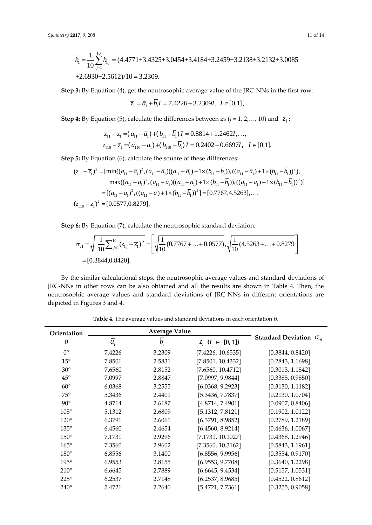$$
Symmetry 2017, 9, 208
$$
\n
$$
\overline{b}_1 = \frac{1}{10} \sum_{j=1}^{10} b_{1j} = (4.4771 + 3.4325 + 3.0454 + 3.4184 + 3.2459 + 3.2138 + 3.2132 + 3.0085 + 2.6930 + 2.5612)/10 = 3.2309.
$$
\n
$$
11 \text{ of } 14
$$

**Step 3:** By Equation (4), get the neutrosophic average value of the JRC-NNs in the first row:<br> $\overline{z}_1 = \overline{a}_1 + \overline{b}_1 I = 7.4226 + 3.2309I, I \in [0,1].$ 

$$
\overline{z}_1 = \overline{a}_1 + b_1 I = 7.4226 + 3.2309I, I \in [0,1].
$$

**Step 4:** By Equation (5), calculate the differences between 
$$
z_{1j}
$$
 ( $j = 1, 2, ..., 10$ ) and  $\overline{z}_1$ :  
\n
$$
z_{11} - \overline{z}_1 = (a_{11} - \overline{a}_1) + (b_{11} - \overline{b}_1)I = 0.8814 + 1.2462I, ...,
$$
\n
$$
z_{110} - \overline{z}_1 = (a_{110} - \overline{a}_1) + (b_{110} - \overline{b}_1)I = 0.2402 - 0.6697I, \quad I \in [0,1].
$$

$$
z_{110} - \overline{z}_1 = (a_{110} - \overline{a}_1) + (b_{110} - \overline{b}_1)I = 0.2402 - 0.6697I, \quad I \in [0,1].
$$
  
\n**Step 5:** By Equation (6), calculate the square of these differences:  
\n
$$
(z_{11} - \overline{z}_1)^2 = [\min((a_{11} - \overline{a}_1)^2, (a_{11} - \overline{a}_1)((a_{11} - \overline{a}_1) + 1 \times (b_{11} - \overline{b}_1)), ((a_{11} - \overline{a}_1) + 1 \times (b_{11} - \overline{b}_1))^2),
$$
\n
$$
\max((a_{11} - \overline{a}_1)^2, (a_{11} - \overline{a}_1)((a_{11} - \overline{a}_1) + 1 \times (b_{11} - \overline{b}_1)), ((a_{11} - \overline{a}_1) + 1 \times (b_{11} - \overline{b}_1))^2)]
$$
\n
$$
= [(a_{11} - \overline{a}_1)^2, ((a_{11} - \overline{a}) + 1 \times (b_{11} - \overline{b}_1))^2] = [0.7767, 4.5263], ...,
$$
\n
$$
(z_{110} - \overline{z}_1)^2 = [0.0577, 0.8279].
$$

**Step 6:** By Equation (7), calculate the neutrosophic standard deviation:

6: By Equation (7), calculate the neutrosophic standard deviation:  
\n
$$
\sigma_{z1} = \sqrt{\frac{1}{10} \sum_{j=1}^{10} (z_{1j} - \overline{z}_1)^2} = \left[ \sqrt{\frac{1}{10} (0.7767 + ... + 0.0577)}, \sqrt{\frac{1}{10} (4.5263 + ... + 0.8279)} \right]
$$
\n= [0.3844, 0.8420].

By the similar calculational steps, the neutrosophic average values and standard deviations of JRC-NNs in other rows can be also obtained and all the results are shown in Table 4. Then, the neutrosophic average values and standard deviations of JRC-NNs in different orientations are depicted in Figures 3 and 4.

| Orientation   |                    | <b>Average Value</b> |                       |                                    |
|---------------|--------------------|----------------------|-----------------------|------------------------------------|
| $\theta$      | $\overline{a}_{i}$ | $b_{\cdot}$          | $Z_i$ $(I \in [0,1])$ | Standard Deviation $\sigma_{\eta}$ |
| $0^{\circ}$   | 7.4226             | 3.2309               | [7.4226, 10.6535]     | [0.3844, 0.8420]                   |
| $15^{\circ}$  | 7.8501             | 2.5831               | [7.8501, 10.4332]     | [0.2843, 1.1698]                   |
| $30^\circ$    | 7.6560             | 2.8152               | [7.6560, 10.4712]     | [0.3013, 1.1842]                   |
| $45^{\circ}$  | 7.0997             | 2.8847               | [7.0997, 9.9844]      | [0.3385, 0.9850]                   |
| $60^{\circ}$  | 6.0368             | 3.2555               | [6.0368, 9.2923]      | [0.3130, 1.1182]                   |
| $75^\circ$    | 5.3436             | 2.4401               | [5.3436, 7.7837]      | [0.2130, 1.0704]                   |
| $90^\circ$    | 4.8714             | 2.6187               | [4.8714, 7.4901]      | [0.0907, 0.8406]                   |
| $105^\circ$   | 5.1312             | 2.6809               | [5.1312, 7.8121]      | [0.1902, 1.0122]                   |
| $120^\circ$   | 6.3791             | 2.6061               | [6.3791, 8.9852]      | [0.2789, 1.2189]                   |
| $135^\circ$   | 6.4560             | 2.4654               | [6.4560, 8.9214]      | [0.4636, 1.0067]                   |
| $150^\circ$   | 7.1731             | 2.9296               | [7.1731, 10.1027]     | [0.4368, 1.2946]                   |
| $165^\circ$   | 7.3560             | 2.9602               | [7.3560, 10.3162]     | [0.5843, 1.1961]                   |
| $180^\circ$   | 6.8556             | 3.1400               | [6.8556, 9.9956]      | [0.3554, 0.9170]                   |
| $195^\circ$   | 6.9553             | 2.8155               | [6.9553, 9.7708]      | [0.3640, 1.2298]                   |
| $210^{\circ}$ | 6.6645             | 2.7889               | [6.6645, 9.4534]      | [0.5157, 1.0531]                   |
| $225^\circ$   | 6.2537             | 2.7148               | [6.2537, 8.9685]      | [0.4522, 0.8612]                   |
| $240^\circ$   | 5.4721             | 2.2640               | [5.4721, 7.7361]      | [0.3255, 0.9058]                   |

**Table 4.** The average values and standard deviations in each orientation *θ.*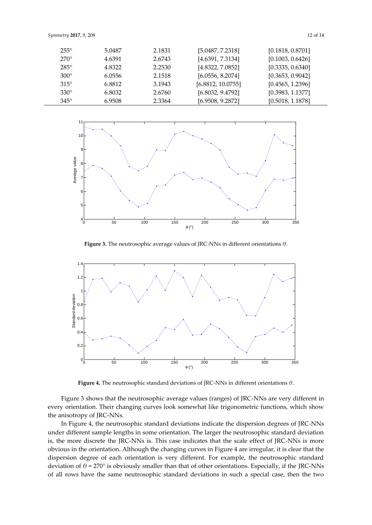| $255^\circ$ | 5.0487 | 2.1831 | [5.0487, 7.2318]  | [0.1818, 0.8701] |
|-------------|--------|--------|-------------------|------------------|
| $270^\circ$ | 4.6391 | 2.6743 | [4.6391, 7.3134]  | [0.1003, 0.6426] |
| $285^\circ$ | 4.8322 | 2.2530 | [4.8322, 7.0852]  | [0.3335, 0.6340] |
| $300^\circ$ | 6.0556 | 2.1518 | [6.0556, 8.2074]  | [0.3653, 0.9042] |
| $315^\circ$ | 6.8812 | 3.1943 | [6.8812, 10.0755] | [0.4565, 1.2396] |
| $330^\circ$ | 6.8032 | 2.6760 | [6.8032, 9.4792]  | [0.3983, 1.1377] |
| $345^\circ$ | 6.9508 | 2.3364 | [6.9508, 9.2872]  | [0.5018, 1.1878] |



**Figure 3.** The neutrosophic average values of JRC-NNs in different orientations *θ*.



**Figure 4.** The neutrosophic standard deviations of JRC-NNs in different orientations *θ*.

Figure 3 shows that the neutrosophic average values (ranges) of JRC-NNs are very different in every orientation. Their changing curves look somewhat like trigonometric functions, which show the anisotropy of JRC-NNs.

In Figure 4, the neutrosophic standard deviations indicate the dispersion degrees of JRC-NNs under different sample lengths in some orientation. The larger the neutrosophic standard deviation is, the more discrete the JRC-NNs is. This case indicates that the scale effect of JRC-NNs is more obvious in the orientation. Although the changing curves in Figure 4 are irregular, it is clear that the dispersion degree of each orientation is very different. For example, the neutrosophic standard deviation of *θ* = 270° is obviously smaller than that of other orientations. Especially, if the JRC-NNs of all rows have the same neutrosophic standard deviations in such a special case, then the two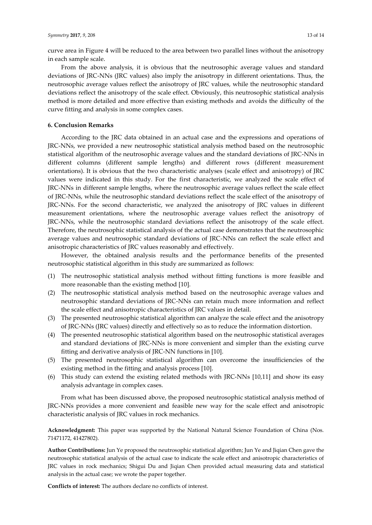curve area in Figure 4 will be reduced to the area between two parallel lines without the anisotropy in each sample scale.

From the above analysis, it is obvious that the neutrosophic average values and standard deviations of JRC-NNs (JRC values) also imply the anisotropy in different orientations. Thus, the neutrosophic average values reflect the anisotropy of JRC values, while the neutrosophic standard deviations reflect the anisotropy of the scale effect. Obviously, this neutrosophic statistical analysis method is more detailed and more effective than existing methods and avoids the difficulty of the curve fitting and analysis in some complex cases.

#### **6. Conclusion Remarks**

According to the JRC data obtained in an actual case and the expressions and operations of JRC-NNs, we provided a new neutrosophic statistical analysis method based on the neutrosophic statistical algorithm of the neutrosophic average values and the standard deviations of JRC-NNs in different columns (different sample lengths) and different rows (different measurement orientations). It is obvious that the two characteristic analyses (scale effect and anisotropy) of JRC values were indicated in this study. For the first characteristic, we analyzed the scale effect of JRC-NNs in different sample lengths, where the neutrosophic average values reflect the scale effect of JRC-NNs, while the neutrosophic standard deviations reflect the scale effect of the anisotropy of JRC-NNs. For the second characteristic, we analyzed the anisotropy of JRC values in different measurement orientations, where the neutrosophic average values reflect the anisotropy of JRC-NNs, while the neutrosophic standard deviations reflect the anisotropy of the scale effect. Therefore, the neutrosophic statistical analysis of the actual case demonstrates that the neutrosophic average values and neutrosophic standard deviations of JRC-NNs can reflect the scale effect and anisotropic characteristics of JRC values reasonably and effectively.

However, the obtained analysis results and the performance benefits of the presented neutrosophic statistical algorithm in this study are summarized as follows:

- (1) The neutrosophic statistical analysis method without fitting functions is more feasible and more reasonable than the existing method [10].
- (2) The neutrosophic statistical analysis method based on the neutrosophic average values and neutrosophic standard deviations of JRC-NNs can retain much more information and reflect the scale effect and anisotropic characteristics of JRC values in detail.
- (3) The presented neutrosophic statistical algorithm can analyze the scale effect and the anisotropy of JRC-NNs (JRC values) directly and effectively so as to reduce the information distortion.
- (4) The presented neutrosophic statistical algorithm based on the neutrosophic statistical averages and standard deviations of JRC-NNs is more convenient and simpler than the existing curve fitting and derivative analysis of JRC-NN functions in [10].
- (5) The presented neutrosophic statistical algorithm can overcome the insufficiencies of the existing method in the fitting and analysis process [10].
- (6) This study can extend the existing related methods with JRC-NNs [10,11] and show its easy analysis advantage in complex cases.

From what has been discussed above, the proposed neutrosophic statistical analysis method of JRC-NNs provides a more convenient and feasible new way for the scale effect and anisotropic characteristic analysis of JRC values in rock mechanics.

**Acknowledgment:** This paper was supported by the National Natural Science Foundation of China (Nos. 71471172, 41427802).

**Author Contributions:** Jun Ye proposed the neutrosophic statistical algorithm; Jun Ye and Jiqian Chen gave the neutrosophic statistical analysis of the actual case to indicate the scale effect and anisotropic characteristics of JRC values in rock mechanics; Shigui Du and Jiqian Chen provided actual measuring data and statistical analysis in the actual case; we wrote the paper together.

**Conflicts of interest:** The authors declare no conflicts of interest.